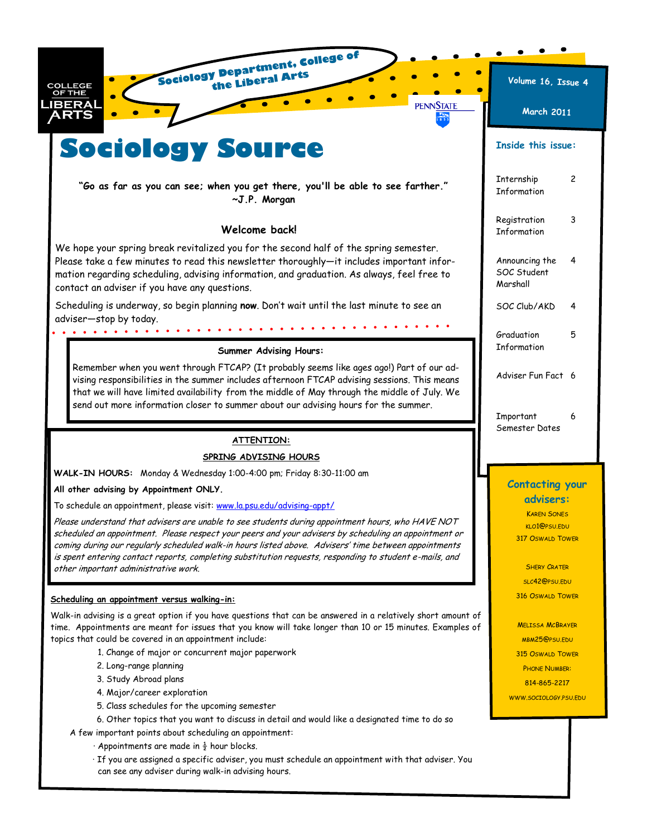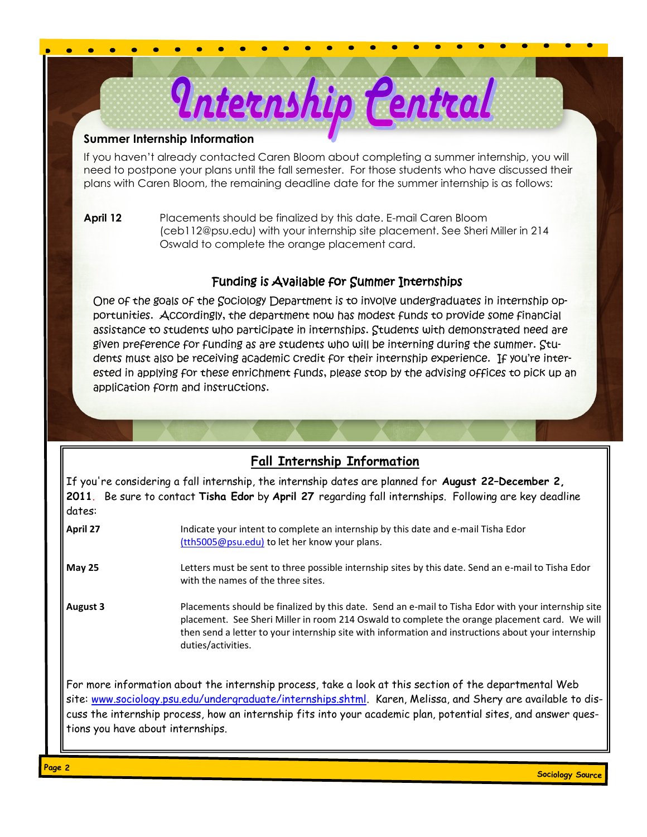## **Summer Internship Information**

If you haven't already contacted Caren Bloom about completing a summer internship, you will need to postpone your plans until the fall semester. For those students who have discussed their plans with Caren Bloom, the remaining deadline date for the summer internship is as follows:

Internship Central

**April 12** Placements should be finalized by this date. E-mail Caren Bloom (ceb112@psu.edu) with your internship site placement. See Sheri Miller in 214 Oswald to complete the orange placement card.

## Funding is Available for Summer Internships

One of the goals of the Sociology Department is to involve undergraduates in internship opportunities. Accordingly, the department now has modest funds to provide some financial assistance to students who participate in internships. Students with demonstrated need are given preference for funding as are students who will be interning during the summer. Students must also be receiving academic credit for their internship experience. If you're interested in applying for these enrichment funds, please stop by the advising offices to pick up an application form and instructions.

# **Fall Internship Information**

If you're considering a fall internship, the internship dates are planned for **August 22–December 2, 2011**. Be sure to contact **Tisha Edor** by **April 27** regarding fall internships. Following are key deadline dates:

**April 27** Indicate your intent to complete an internship by this date and e-mail Tisha Edor [\(tth5005@psu.edu\)](mailto:ceb112@psu.edu) to let her know your plans.

**May 25** Letters must be sent to three possible internship sites by this date. Send an e-mail to Tisha Edor with the names of the three sites.

**August 3** Placements should be finalized by this date. Send an e-mail to Tisha Edor with your internship site placement. See Sheri Miller in room 214 Oswald to complete the orange placement card. We will then send a letter to your internship site with information and instructions about your internship duties/activities.

For more information about the internship process, take a look at this section of the departmental Web site: [www.sociology.psu.edu/undergraduate/internships.shtml.](http://www.sociology.psu.edu/undergraduate/internships.shtml) Karen, Melissa, and Shery are available to discuss the internship process, how an internship fits into your academic plan, potential sites, and answer questions you have about internships.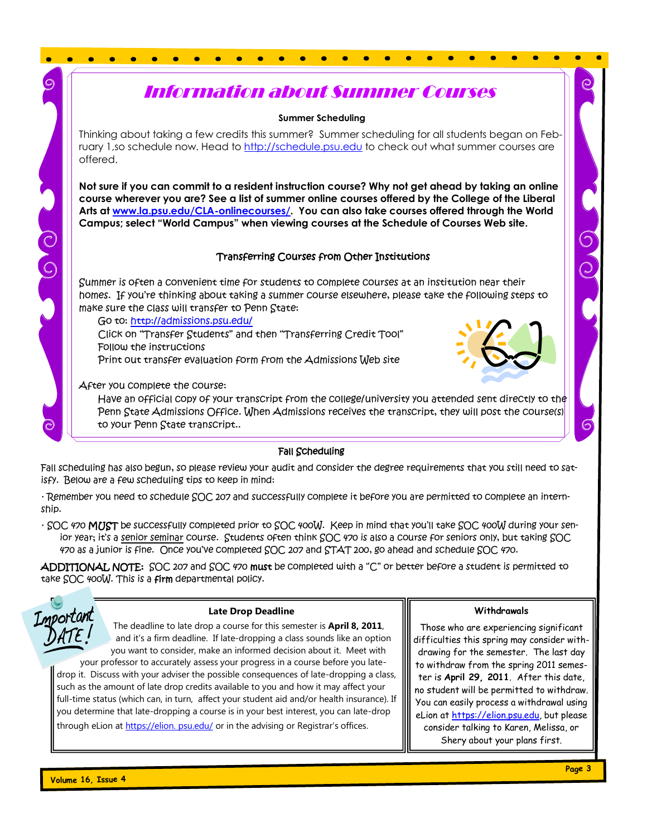# Information about Summer Courses

**Summer Scheduling**

Thinking about taking a few credits this summer? Summer scheduling for all students began on February 1,so schedule now. Head to<http://schedule.psu.edu> to check out what summer courses are offered.

**Not sure if you can commit to a resident instruction course? Why not get ahead by taking an online course wherever you are? See a list of summer online courses offered by the College of the Liberal Arts at [www.la.psu.edu/CLA-onlinecourses/.](http://www.la.psu.edu/CLA-onlinecourses/) You can also take courses offered through the World Campus; select "World Campus" when viewing courses at the Schedule of Courses Web site.**

### Transferring Courses from Other Institutions

Summer is often a convenient time for students to complete courses at an institution near their homes. If you're thinking about taking a summer course elsewhere, please take the following steps to make sure the class will transfer to Penn State:

Go to: <http://admissions.psu.edu/>

Click on "Transfer Students" and then "Transferring Credit Tool" Follow the instructions

Print out transfer evaluation form from the Admissions Web site

After you complete the course:

Have an official copy of your transcript from the college/university you attended sent directly to the Penn State Admissions Office. When Admissions receives the transcript, they will post the course(s) to your Penn State transcript..

#### Fall Scheduling

Fall scheduling has also begun, so please review your audit and consider the degree requirements that you still need to satisfy. Below are a few scheduling tips to keep in mind:

· Remember you need to schedule SOC 207 and successfully complete it before you are permitted to complete an internship.

 $\cdot$  SOC 470 **MUST** be successfully completed prior to SOC 400W. Keep in mind that you'll take SOC 400W during your senior year; it's a senior seminar course. Students often think SOC 470 is also a course for seniors only, but taking SOC 470 as a junior is fine. Once you've completed SOC 207 and STAT 200, go ahead and schedule SOC 470.

ADDITIONAL NOTE: SOC 207 and SOC 470 must be completed with a "C" or better before a student is permitted to take SOC 400W. This is a firm departmental policy.



COLO

#### **Late Drop Deadline**

The deadline to late drop a course for this semester is **April 8, 2011**, and it's a firm deadline. If late-dropping a class sounds like an option you want to consider, make an informed decision about it. Meet with

your professor to accurately assess your progress in a course before you latedrop it. Discuss with your adviser the possible consequences of late-dropping a class, such as the amount of late drop credits available to you and how it may affect your full-time status (which can, in turn, affect your student aid and/or health insurance). If you determine that late-dropping a course is in your best interest, you can late-drop through eLion at [https://elion. psu.edu/](https://elion.%20psu.edu/) or in the advising or Registrar's offices.

**Withdrawals**

Those who are experiencing significant difficulties this spring may consider withdrawing for the semester. The last day to withdraw from the spring 2011 semester is **April 29, 2011**. After this date, no student will be permitted to withdraw. You can easily process a withdrawal using eLion at [https://elion.psu.edu,](https://elion.psu.edu) but please consider talking to Karen, Melissa, or Shery about your plans first.

61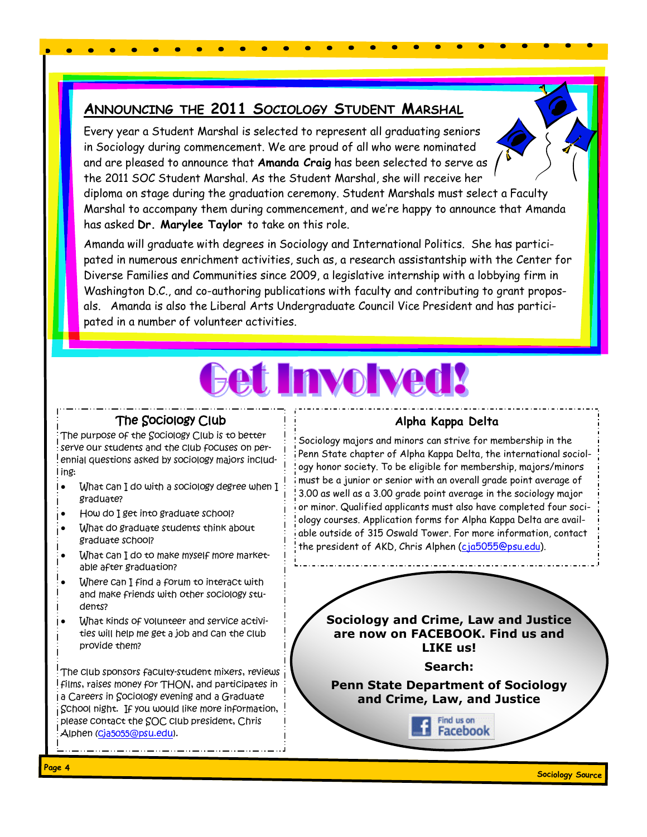# **ANNOUNCING THE 2011 SOCIOLOGY STUDENT MARSHAL**

Every year a Student Marshal is selected to represent all graduating seniors in Sociology during commencement. We are proud of all who were nominated and are pleased to announce that **Amanda Craig** has been selected to serve as the 2011 SOC Student Marshal. As the Student Marshal, she will receive her

diploma on stage during the graduation ceremony. Student Marshals must select a Faculty Marshal to accompany them during commencement, and we're happy to announce that Amanda has asked **Dr. Marylee Taylor** to take on this role.

Amanda will graduate with degrees in Sociology and International Politics. She has participated in numerous enrichment activities, such as, a research assistantship with the Center for Diverse Families and Communities since 2009, a legislative internship with a lobbying firm in Washington D.C., and co-authoring publications with faculty and contributing to grant proposals. Amanda is also the Liberal Arts Undergraduate Council Vice President and has participated in a number of volunteer activities.



# The Sociology Club

The purpose of the Sociology Club is to better serve our students and the club focuses on perennial questions asked by sociology majors including:

- I. What can I do with a sociology degree when I graduate?
- How do I get into graduate school?
- What do graduate students think about graduate school?
- What can I do to make myself more marketable after graduation?
- Where can I find a forum to interact with and make friends with other sociology students?
- What kinds of volunteer and service activities will help me get a job and can the club provide them?

The club sponsors faculty-student mixers, reviews films, raises money for THON, and participates in Ia Careers in Sociology evening and a Graduate School night. If you would like more information, please contact the SOC club president, Chris Alphen ([cja5055@psu.edu\)](mailto:cja5055@psu.edu).

## **Alpha Kappa Delta**

Sociology majors and minors can strive for membership in the Penn State chapter of Alpha Kappa Delta, the international sociology honor society. To be eligible for membership, majors/minors must be a junior or senior with an overall grade point average of 3.00 as well as a 3.00 grade point average in the sociology major or minor. Qualified applicants must also have completed four sociology courses. Application forms for Alpha Kappa Delta are available outside of 315 Oswald Tower. For more information, contact the president of AKD, Chris Alphen [\(cja5055@psu.edu\).](mailto:cja5055@psu.edu)

**Sociology and Crime, Law and Justice are now on FACEBOOK. Find us and LIKE us!** 

**Search:**

**Penn State Department of Sociology and Crime, Law, and Justice** 

> Find us on **Facebook**

**Sociology Source Page 4**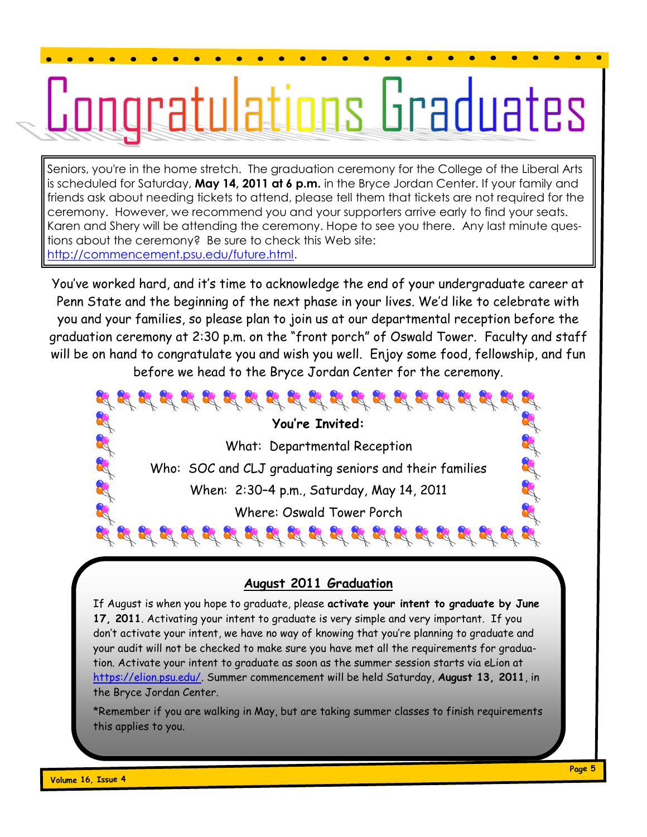# <u>iratulations Graduates</u>

Seniors, you're in the home stretch. The graduation ceremony for the College of the Liberal Arts is scheduled for Saturday, **May 14, 2011 at 6 p.m.** in the Bryce Jordan Center. If your family and friends ask about needing tickets to attend, please tell them that tickets are not required for the ceremony. However, we recommend you and your supporters arrive early to find your seats. Karen and Shery will be attending the ceremony. Hope to see you there. Any last minute questions about the ceremony? Be sure to check this Web site: [http://commencement.psu.edu/future.html.](http://commencement.psu.edu/future.html)

You've worked hard, and it's time to acknowledge the end of your undergraduate career at Penn State and the beginning of the next phase in your lives. We'd like to celebrate with you and your families, so please plan to join us at our departmental reception before the graduation ceremony at 2:30 p.m. on the "front porch" of Oswald Tower. Faculty and staff will be on hand to congratulate you and wish you well. Enjoy some food, fellowship, and fun before we head to the Bryce Jordan Center for the ceremony.

I Et Et Et Et **You're Invited:** What: Departmental Reception the off off off Who: SOC and CLJ graduating seniors and their families When: 2:30–4 p.m., Saturday, May 14, 2011 Where: Oswald Tower Porch  $\mathcal{L} \, \, \mathcal{L} \, \, \mathcal{L} \, \, \mathcal{L} \, \, \mathcal{L} \, \, \mathcal{L} \, \, \mathcal{L} \, \, \mathcal{L} \, \, \mathcal{L} \, \, \mathcal{L} \, \, \mathcal{L} \, \, \mathcal{L} \, \, \mathcal{L} \, \, \mathcal{L} \, \, \mathcal{L} \, \, \mathcal{L} \, \, \mathcal{L} \, \, \mathcal{L} \, \, \mathcal{L} \, \, \mathcal{L} \, \, \mathcal{L} \, \, \mathcal{L} \, \,$ 

# **August 2011 Graduation**

If August is when you hope to graduate, please **activate your intent to graduate by June 17, 2011**. Activating your intent to graduate is very simple and very important. If you don't activate your intent, we have no way of knowing that you're planning to graduate and your audit will not be checked to make sure you have met all the requirements for graduation. Activate your intent to graduate as soon as the summer session starts via eLion at [https://elion.psu.edu/.](https://elion.psu.edu/) Summer commencement will be held Saturday, **August 13, 2011**, in the Bryce Jordan Center.

\*Remember if you are walking in May, but are taking summer classes to finish requirements this applies to you.